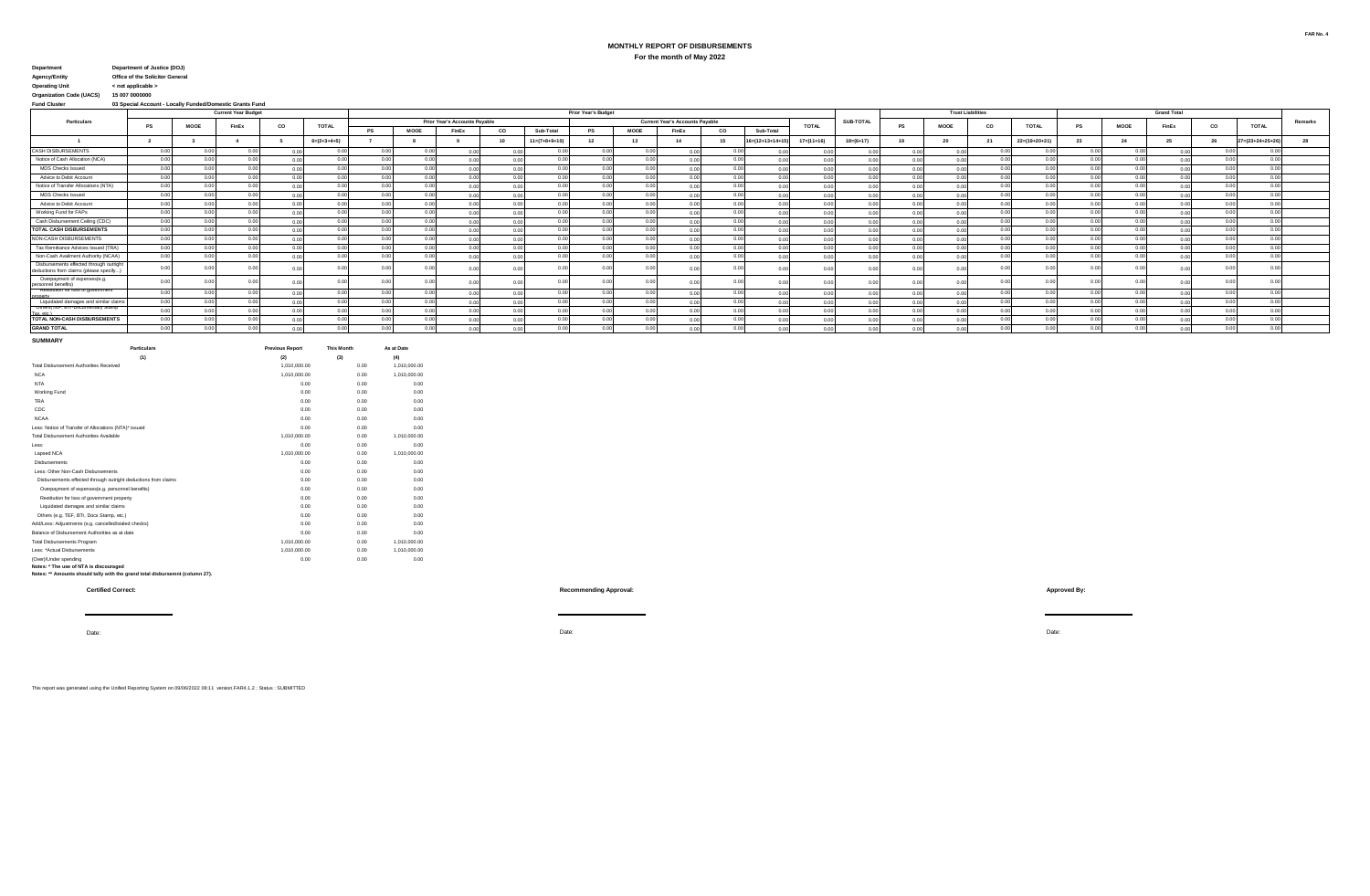## **MONTHLY REPORT OF DISBURSEMENTS**

**For the month of May 2022**

| Department | Department of Justice (DOJ) |
|------------|-----------------------------|
|            |                             |

**Agency/Entity Office of the Solicitor General**

**Operating Unit < not applicable > Organization Code (UACS) 15 007 0000000**

**Fund Cluster 03 Special Account - Locally Funded/Domestic Grants Fund**

|                                                                                    |        |             | <b>Current Year Budget</b> |    |                | <b>Prior Year's Budget</b> |                |                                      |      |                 |                |             |                                        |      |                            |                  |                | <b>Trust Liabilities</b> |      |      |                            |       | <b>Grand Total</b> |       |                |                            |         |
|------------------------------------------------------------------------------------|--------|-------------|----------------------------|----|----------------|----------------------------|----------------|--------------------------------------|------|-----------------|----------------|-------------|----------------------------------------|------|----------------------------|------------------|----------------|--------------------------|------|------|----------------------------|-------|--------------------|-------|----------------|----------------------------|---------|
| Particulars                                                                        | PS     | <b>MOOE</b> | FinEx                      | co | <b>TOTAL</b>   |                            |                | <b>Prior Year's Accounts Pavable</b> |      |                 |                |             | <b>Current Year's Accounts Pavable</b> |      |                            | <b>TOTAL</b>     | SUB-TOTAL      | <b>PS</b>                | MOOE | co   | <b>TOTAL</b>               | PS    | MOOE               | FinEx | co             | <b>TOTAL</b>               | Remarks |
|                                                                                    |        |             |                            |    |                | P.                         | MOOE           | FinEx                                | co   | Sub-Total       | PS             | <b>MOOE</b> | FinEx                                  | co   | Sub-Total                  |                  |                |                          |      |      |                            |       |                    |       |                |                            |         |
|                                                                                    |        |             |                            |    | $6= (2+3+4+5)$ |                            |                |                                      | 10   | $11=(7+8+9+10)$ |                |             | 14                                     | 15   | $16 = (12 + 13 + 14 + 15)$ | $17 = (11 + 16)$ | $18=(6+17)$    | 19                       |      | 21   | $22=(19+20+21)$            | 23    |                    |       | 26             | $27 = (23 + 24 + 25 + 26)$ |         |
| <b>CASH DISBURSEMENTS</b>                                                          | 0.00   | 0.00        | 0.00                       |    |                | 00                         | 00             |                                      |      | 0.001           |                |             | 0.00                                   |      |                            |                  | 0 <sub>0</sub> |                          |      |      |                            | 0.00  |                    | 0.00  |                |                            |         |
| Notice of Cash Allocation (NCA)                                                    | 0.00   | 0.00        | 0.00                       |    | 0.00           | 0.00                       | 0.00           |                                      | 0.00 | 0.00            |                | n nn        | 0.00                                   | 0.00 |                            |                  | 00             |                          |      | 0.00 | 0.00                       | 0.00  | 0.00               | 0.01  |                | 0.00                       |         |
| MDS Checks Issued                                                                  | 0.00   | 0.00        | 0.00                       |    | 0.00           | 0.00                       | 0.00           |                                      | 0.00 | 0.00            |                | 0.001       | 0.00                                   | 0.00 | 0.00                       | 0.00             |                |                          |      | 0.00 | 0.00                       | 0.00  | 0.00               | 0.01  | 0 <sub>0</sub> | 0.00                       |         |
| Advice to Debit Account                                                            | 0.00   | 0.00        | 0.00                       |    | 0.00           | 0.00                       | 0.00           |                                      | 0.00 | 0.00            | 0 <sup>o</sup> | 0.00        | 0.00                                   | n on | n nn                       | 0.00             | 00             |                          | 0.01 | 0.00 | 0.00                       | 0.00  | 0.00               | 0.00  | 0.00           | 0.00                       |         |
| Notice of Transfer Allocations (NTA)                                               | 0.00   | 0.00        | 0.00                       |    | 0.00           | 0.00                       | 0.00           |                                      | 0.00 | 0.00            |                | 0.00        | 0.001                                  | n on | n nn                       | 0.00             | 00             |                          |      | 0.00 | 0.00                       | 0.001 | 0.00               | 0.00  | 0.00           | 0.00                       |         |
| MDS Checks Issued                                                                  | 0.00   | 0.00        | 0.00                       |    | 0.00           | 0.00                       | 0.00           |                                      | 0.00 | 0.001           | 0 <sup>o</sup> | 0.00        | 0.00                                   | n on | 0.00                       | 0.00             | 0 <sub>0</sub> |                          | 0.00 | 0.00 | 0.00                       | 0.00  | 0.00               | 0.00  | 0.00           | 0.00                       |         |
| Advice to Debit Account                                                            | 0.00   | 0.00        | 0.001                      |    | 0.00           | 0.00                       | n on           |                                      | 0.00 | 0.001           |                | n nn        | 0.00                                   | 0.00 | 0.00                       | 0.00             |                |                          |      | 0.00 | n nn                       | 0.00  | 0.00               | 0.01  | 0.01           | 0.00                       |         |
| Working Fund for FAPs                                                              | 0.00   | 0.00        | 0.00                       |    | 0.00           | 0.00                       | n on           |                                      | 0.00 | 0.00            |                | n nn        | n nn                                   | 0.00 | 0.00                       | 0.00             |                |                          |      | 0.00 | n nn                       | 0.00  | 0.00               | 0.00  | 0 <sup>0</sup> | 0.00                       |         |
| Cash Disbursement Ceiling (CDC)                                                    | 0.001  | 0.00        | n nr                       |    | 0.00           | 00                         | $\sim$         |                                      | 0.00 | 0.001           |                | 0.001       | 0.001                                  | n nr |                            |                  |                |                          |      | 0.00 | 0.00                       | 0.00  | 0.00               |       |                | 0.00                       |         |
| <b>TOTAL CASH DISBURSEMENTS</b>                                                    | 0.00   | 0.00        |                            |    | 0.00           |                            | 0 <sup>0</sup> |                                      | 0.00 | n nn            |                | n nn        | 0.00                                   | n nr |                            |                  |                |                          | 0.01 | 0.00 |                            | 0.00  | 0.00               | 0.01  |                |                            |         |
| NON-CASH DISBURSEMENTS                                                             | 0.001  | 0.00        |                            |    |                | 00                         |                |                                      | 0.00 | n nn            |                | 0.00        | 0.00                                   | n nr |                            |                  |                |                          |      | 0.00 |                            | 0.00  | 0.00               |       |                | 0.00                       |         |
| Tax Remittance Advices Issued (TRA)                                                | 0.00   | 0.00        |                            |    | 0.00           | 0.0                        | 00             |                                      | 0.00 | n nn            |                | n nn        | 0.00                                   | n or |                            |                  |                |                          |      |      | 0 <sup>0<sup>c</sup></sup> | 0.00  | 0.00               |       | 0.0            | 0.00                       |         |
| Non-Cash Availment Authority (NCAA)                                                | 0.00   | 0.00        |                            |    | 0.00           |                            |                |                                      | 0.00 | n nn            |                |             | 0.00                                   | n or |                            |                  |                |                          |      |      |                            | n nn  | 0.00               |       | 0.0            | 0.00                       |         |
| Disbursements effected through outright<br>deductions from claims (please specify. | റവ     | 0.00        |                            |    |                |                            |                |                                      | n nn |                 |                |             | n on l                                 |      |                            |                  | 00             |                          |      |      |                            |       |                    |       |                |                            |         |
| Overpayment of expenses(e.g.<br>personnel benefits)                                |        |             |                            |    |                |                            |                |                                      |      |                 |                |             |                                        |      |                            |                  |                |                          |      |      |                            |       |                    |       |                |                            |         |
| Restitution for loss of government                                                 | 0.001  | 0.00        | n nn                       |    | 0.01           | 00                         | 0 <sup>0</sup> |                                      |      | 0.001           |                | 0.00        | 0.00                                   | 0.01 |                            |                  |                |                          |      | 0.00 | 0.00                       |       | 0.00               |       |                | 0.00                       |         |
| Liquidated damages and similar claims                                              | 0.001  | 0.00        | n nn                       |    | 0.01           | 00                         | 0 <sup>0</sup> |                                      | 0.01 | 0.001           |                | 0.00        |                                        | 0.00 |                            |                  |                |                          |      | 0.00 | 0.001                      | 0.00  | n nn               | 0.01  |                | 0.00                       |         |
| Uthers(IEF, BII-Documentary Stamp<br>Tax etc.                                      | n nn l | 0.00        | 0.00                       |    |                | 0 <sup>0</sup>             |                |                                      | 0.01 | n nn l          |                | o oo        | 0.00                                   | n nr |                            |                  |                |                          |      | 0.00 | 0.00                       | 0.00  |                    |       |                | 0.00                       |         |
| TOTAL NON-CASH DISBURSEMENTS                                                       | n nn   | n nn        |                            |    |                |                            |                |                                      |      |                 |                |             |                                        |      |                            |                  |                |                          |      |      |                            |       |                    |       |                | 0.00                       |         |
| <b>GRAND TOTAL</b>                                                                 | n nn   | n nn        |                            |    |                |                            |                |                                      |      |                 |                |             | 0.001                                  |      |                            |                  |                |                          |      |      |                            | 0.00  |                    |       |                | 0.00                       |         |

Date: Date:

| <b>SUMMARY</b>                                                 |                        |                   |              |
|----------------------------------------------------------------|------------------------|-------------------|--------------|
| <b>Particulars</b>                                             | <b>Previous Report</b> | <b>This Month</b> | As at Date   |
| (1)                                                            | (2)                    | (3)               | (4)          |
| Total Disbursement Authorities Received                        | 1.010.000.00           | 0.00              | 1.010.000.00 |
| <b>NCA</b>                                                     | 1.010.000.00           | 0.00              | 1.010.000.00 |
| <b>NTA</b>                                                     | 0.00                   | 0.00              | 0.00         |
| Working Fund                                                   | 0.00                   | 0.00              | 0.00         |
| <b>TRA</b>                                                     | 0.00                   | 0.00              | 0.00         |
| CDC                                                            | 0.00                   | 0.00              | 0.00         |
| <b>NCAA</b>                                                    | 0.00                   | 0.00              | 0.00         |
| Less: Notice of Transfer of Allocations (NTA)* issued          | 0.00                   | 0.00              | 0.00         |
| Total Dishursement Authorities Available                       | 1.010.000.00           | 0.00              | 1.010.000.00 |
| Less:                                                          | 0.00                   | 0.00              | 0.00         |
| Lapsed NCA                                                     | 1.010.000.00           | 0.00              | 1.010.000.00 |
| Dishursements                                                  | 0.00                   | 0.00              | 0.00         |
| Less: Other Non-Cash Disbursements                             | 0.00                   | 0.00              | 0.00         |
| Disbursements effected through outright deductions from claims | 0.00                   | 0.00              | 0.00         |
| Overpayment of expenses(e.g. personnel benefits)               | 0.00                   | 0.00              | 0.00         |
| Restitution for loss of acupromont proporty.                   | 0.00                   | 0.00              | 0.00         |

| --------------                                                 |              | $\sim\sim$ | $\sim\sim\sim$ |
|----------------------------------------------------------------|--------------|------------|----------------|
| Less: Other Non-Cash Disbursements                             | 0.00         | 0.00       | 0.00           |
| Disbursements effected through outright deductions from claims | 0.00         | 0.00       | 0.00           |
| Overpayment of expenses(e.g. personnel benefits)               | 0.00         | 0.00       | 0.00           |
| Restitution for loss of government property                    | 0.00         | 0.00       | 0.00           |
| Liquidated damages and similar claims                          | 0.00         | 0.00       | 0.00           |
| Others (e.g. TEF, BTr. Docs Stamp, etc.)                       | 0.00         | 0.00       | 0.00           |
| Add/Less: Adjustments (e.g. cancelled/staled checks)           | 0.00         | 0.00       | 0.00           |
| Balance of Disbursement Authorities as at date                 | 0.00         | 0.00       | 0.00           |
| <b>Total Disbursements Program</b>                             | 1.010.000.00 | 0.00       | 1.010.000.00   |

Total Disbursements Program 1,010,000.00 0.00 1,010,000.00

Less: \*Actual Disbursements 1,010,000.00 0.00 1,010,000.00 (Over)/Under spending 0.00 0.00 0.00

**Notes: \* The use of NTA is discouraged Notes: \*\* Amounts should tally with the grand total disbursemnt (column 27).**

**Certified Correct: Recommending Approval: Approved By:**

Date:

This report was generated using the Unified Reporting System on 09/06/2022 08:11 version.FAR4.1.2 ; Status : SUBMITTED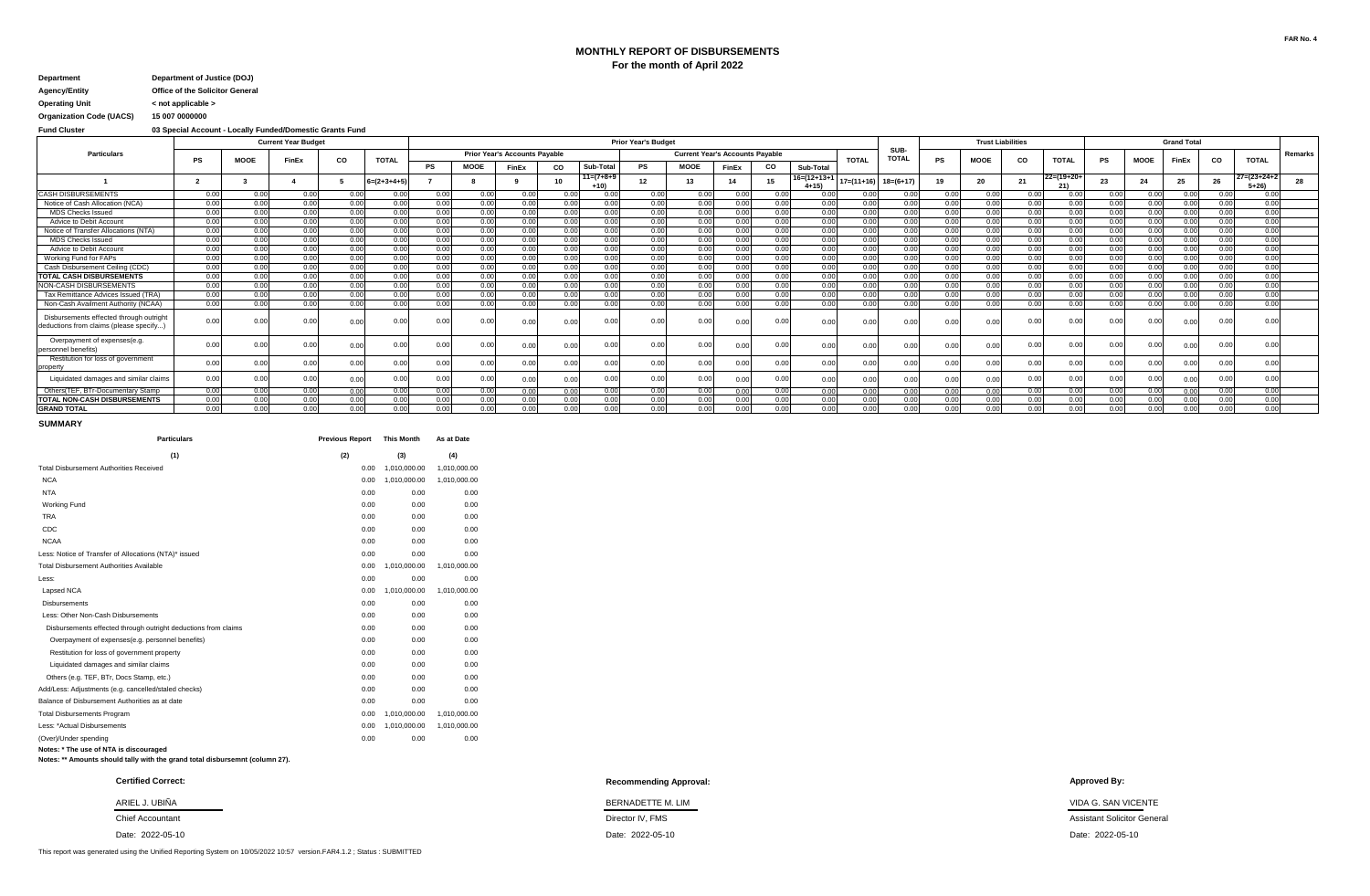## **MONTHLY REPORT OF DISBURSEMENTS For the month of April 2022**

# **Department Department of Justice (DOJ)**

**Agency/Entity Office of the Solicitor General Operating Unit < not applicable >**

**Organization Code (UACS) 15 007 0000000**

**Fund Cluster 03 Special Account - Locally Funded/Domestic Grants Fund**

|                                                                                   |           |             | <b>Current Year Budget</b> |           |              |       |             |                                      |      | <b>Prior Year's Budget</b> |      |             | <b>Trust Liabilities</b>               |      |                         |               |                      | <b>Grand Total</b> |                 |      |              |      |             |       |      |                                  |                |
|-----------------------------------------------------------------------------------|-----------|-------------|----------------------------|-----------|--------------|-------|-------------|--------------------------------------|------|----------------------------|------|-------------|----------------------------------------|------|-------------------------|---------------|----------------------|--------------------|-----------------|------|--------------|------|-------------|-------|------|----------------------------------|----------------|
| <b>Particulars</b>                                                                | <b>PS</b> | <b>MOOE</b> | <b>FinEx</b>               | <b>CO</b> | <b>TOTAL</b> |       |             | <b>Prior Year's Accounts Payable</b> |      |                            |      |             | <b>Current Year's Accounts Payable</b> |      |                         | <b>TOTAL</b>  | SUB-<br><b>TOTAL</b> | <b>PS</b>          | <b>MOOE</b>     | CO   | <b>TOTAL</b> | PS   | <b>MOOE</b> | FinEx | CO   | <b>TOTAL</b>                     | <b>Remarks</b> |
|                                                                                   |           |             |                            |           |              | PS    | <b>MOOE</b> | FinEx                                | CO   | Sub-Total                  | PS   | <b>MOOE</b> | FinEx                                  | CO   | Sub-Total               |               |                      |                    |                 |      |              |      |             |       |      |                                  |                |
|                                                                                   |           |             |                            |           | $=(2+3+4+5)$ |       |             |                                      | 10   | $11=(7+8+9)$<br>+10)       | 12   | 13          | 14                                     | 15   | $6=(12+13+1)$<br>$4+15$ | $17= (11+16)$ | $18=(6+17)$          | 19                 | 20              | 21   | $22=(19+20+$ | 23   | 24          | 25    | 26   | $27 = (23 + 24 + 2)$<br>$5 + 26$ |                |
| <b>CASH DISBURSEMENTS</b>                                                         | 0.00      | 0.00        | 0.00                       | 0.00      | 0.00         | 0.00  | 0.00        | 0.00                                 | 0.00 | 0.00                       | 0.00 | 0.00        | 0.00                                   | 0.00 | 0.00                    | 0.00          | 0.00                 | 0.00               | 0.00            | 0.00 | 0.00         | 0.00 | 0.00        | 0.00  | 0.00 | 0.00                             |                |
| Notice of Cash Allocation (NCA)                                                   | 0.00      | 0.00        | 0.00                       | 0.00      | 0.00         | 0.00  | 0.00        | 0.00                                 | 0.00 | 0.00                       | 0.00 | 0.00        | 0.00                                   | 0.00 | 0.00                    | 0.00          | 0.00                 | 0.00               | 0.00            | 0.00 | 0.00         | 0.00 | 0.00        | 0.00  | 0.00 | 0.00                             |                |
| <b>MDS Checks Issued</b>                                                          | 0.00      | 0.00        | 0.00                       | 0.00      | 0.00         | 0.00  | 0.00        | 0.00                                 | 0.00 | 0.00                       | 0.00 | 0.00        | 0.00                                   | 0.00 | 0.00                    | 0.00          | 0.00                 | 0.00               | 0.00            | 0.00 | 0.00         | 0.00 | 0.00        | 0.00  | 0.00 | 0.00                             |                |
| Advice to Debit Account                                                           | 0.00      | 0.00        | 0.00                       | 0.00      | 0.00         | 0.00  | 0.00        | 0.00                                 | 0.00 | 0.00                       | 0.00 | 0.00        | 0.00                                   | 0.00 | 0.00                    | 0.00          | 0.00                 | 0.00               | 0.00            | 0.00 | 0.00         | 0.00 | 0.00        | 0.00  | 0.00 | 0.00                             |                |
| Notice of Transfer Allocations (NTA)                                              | 0.00      | 0.00        | 0.00                       | 0.00      | 0.00         | 0.00  | 0.00        | 0.00                                 | 0.00 | 0.00                       | 0.00 | 0.00        | 0.00                                   | 0.00 | 0.00                    | 0.00          | 0.00                 | 0.00               | 0.00            | 0.00 | 0.00         | 0.00 | 0.00        | 0.00  | 0.00 | 0.00                             |                |
| <b>MDS Checks Issued</b>                                                          | 0.00      | 0.00        | 0.00                       | 0.00      | 0.00         | 0.00  | 0.00        | 0.00                                 | 0.00 | 0.00                       | 0.00 | 0.00        | 0.00                                   | 0.00 | 0.00                    | 0.00          | 0.00                 | 0.00               | 0.00            | 0.00 | 0.00         | 0.00 | 0.00        | 0.00  | 0.00 | 0.00                             |                |
| Advice to Debit Account                                                           | 0.00      | 0.00        | 0.00                       | 0.00      | 0.00         | 0.00  | 0.00        | 0.00                                 | 0.00 | 0.00                       | 0.00 | 0.00        | 0.00                                   | 0.00 | 0.00                    | 0.00          | 0.00                 | 0.00               | n no            | 0.00 | 0.00         | 0.00 | 0.00        | 0.00  | 0.00 | 0.00                             |                |
| Working Fund for FAPs                                                             | 0.00      | 0.00        | 0.00                       | 0.00      | 0.00         | 0.00  | 0.00        | 0.00                                 | 0.00 | 0.00                       | 0.00 | 0.00        | 0.00                                   | 0.00 | 0.00                    | 0.00          | 0.00                 | 0.00               | 0.00            | 0.00 | 0.00         | 0.00 | 0.00        | 0.00  | 0.00 | 0.00                             |                |
| Cash Disbursement Ceiling (CDC)                                                   | 0.00      | 0.00        | 0.00                       | 0.00      | 0.00         | 0.00  | 0.00        | 0.00                                 | 0.00 | 0.00                       | 0.00 | 0.00        | 0.00                                   | 0.00 | 0.00                    | 0.00          | 0.00                 | 0.00               | 0.00            | 0.00 | 0.00         | 0.00 | 0.00        | 0.00  | 0.00 | 0.00                             |                |
| <b>TOTAL CASH DISBURSEMENTS</b>                                                   | 0.00      | 0.00        | 0.00                       | 0.00      | 0.00         | 0.00  | 0.00        | 0.00                                 | 0.00 | 0.00                       | 0.00 | 0.00        | 0.00                                   | 0.00 | 0.00                    | 0.00          | 0.00                 | 0.00               | 0.00            | 0.00 | 0.00         | 0.00 | 0.00        | 0.00  | 0.00 | 0.00                             |                |
| NON-CASH DISBURSEMENTS                                                            | 0.00      | 0.00        | 0.00                       | 0.00      | 0.00         | 0.00  | 0.00        | 0.00                                 | 0.00 | 0.00                       | 0.00 | 0.00        | 0.00                                   | 0.00 | 0.00                    | n no          | 0.00                 | 0.00               | 00 <sup>0</sup> | 0.00 | 0.00         | 0.00 | 0.00        | 0.00  | 0.00 | 0.00                             |                |
| Tax Remittance Advices Issued (TRA)                                               | 0.00      | 0.00        | 0.00                       | 0.00      | 0.00         | 0.00  | 0.00        | 0.00                                 | 0.00 | 0.00                       | 0.00 | 0.00        | 0.00                                   | 0.00 | 0.00                    | 0.00          | 0.00                 | 0.00               | 0.00            | 0.00 | 0.00         | 0.00 | 0.00        | 0.00  | 0.00 | 0.00                             |                |
| Non-Cash Availment Authority (NCAA)                                               | 0.00      | 0.00        | 0.00                       | 0.OC      | 0.00         | 0.00  | 0.00        | 0.00                                 | 0.00 | 0.00                       | 0.00 | 0.00        | 0.00                                   | 0.00 | 0.00                    | 0.00          | 0.00                 | 0.00               | 0.00            | 0.00 | 0.00         | 0.00 | 0.00        | 0.00  | 0.00 | 0.00                             |                |
| Disbursements effected through outright<br>deductions from claims (please specify | 0.00.     | 0.00        | 0.00                       | 0.00      | 0.0          | 0.00  |             | 0.00                                 |      |                            | 0.00 | 0.00        | 0.01                                   | 0.00 |                         | 0.00          |                      |                    | 0.0             | 0.00 | 0.0          | 0.00 | 0.0         | 0.00  | 0.00 | 0.00                             |                |
| Overpayment of expenses(e.g.<br>personnel benefits)                               | 0.00      | 0.0         | 0.00                       | 0.00      | 0.0          | 0.00  | 0.00        | 0.00                                 | 0.0  |                            | 0.00 | 0.00        | 0.00                                   | 0.00 |                         | 0.00          |                      |                    | 0.0             | 0.00 | 0.00         | 0.00 | 0.00        | 0.00  | 0.00 | 0.00                             |                |
| Restitution for loss of government<br>property                                    | 0.00      | 0.00        | 0.00                       | 0.00      | 0.0          | 0.00  | 0.00        | 0.00                                 | 0.0  | 0.0(                       | 0.00 | 0.00        | 0.00                                   | 0.00 | 0.00                    | 0.00          |                      | 0.00               | 0.0             | 0.00 | 0.00         | 0.00 | 0.00        | 0.00  | 0.00 | 0.00                             |                |
| Liquidated damages and similar claims                                             | 0.00      | 0.00        | 0.00                       | 0.00      | 0.00         | 0.00  | 0.00        | 0.00                                 | 0.00 | 0.00                       | 0.00 | 0.00        | 0.00                                   | 0.00 | 0.00                    | 0.00          | 0.00                 | 0.00               | 0.0             | 0.00 | 0.00         | 0.00 | 0.00        | 0.00  | 0.00 | 0.00                             |                |
| Others (TEF, BTr-Documentary Stamp)                                               | 0.00      | 0.00        | 0.00                       | 0.00      | 0.00         | 0.001 | 0.00        | 0.00                                 | 0.00 | 0.00                       | 0.00 | 0.00        | 0.00                                   | 0.00 | 0.00                    | 0.00          | 0.00                 | 0.00               | 0.00            | 0.00 | 0.00         | 0.00 | 0.00        | 0.00  | 0.00 | 0.00                             |                |
| <b>TOTAL NON-CASH DISBURSEMENTS</b>                                               | 0.00      | 0.00        | 0.00                       | 0.00      | 0.00         | 0.00  | 0.00        | 0.00                                 | 0.00 | 0.00                       | 0.00 | 0.00        | n nn                                   | 0.00 | 0.00                    | 0.00          | 0.00                 | 0.00               | 00              | 0.00 | 0.00         | 0.00 | 0.00        | 0.00  | 0.00 | 0.00                             |                |
| <b>GRAND TOTAL</b>                                                                | 0.00      | 0.00        | 0.00                       | 0.00      | 0.00         | 0.00  | 0.00        | 0.00                                 | 0.00 | 0.00                       | 0.00 | 0.00        | 0.00                                   | 0.00 | 0.00                    | 0.00          | 0.00                 | 0.00               | 0.00            | 0.00 | 0.00         | 0.00 | 0.00        | 0.00  | 0.00 | 0.00                             |                |

### **SUMMARY**

| <b>Particulars</b>                                             | <b>Previous Report</b> | <b>This Month</b> | As at Date   |
|----------------------------------------------------------------|------------------------|-------------------|--------------|
| (1)                                                            | (2)                    | (3)               | (4)          |
| <b>Total Disbursement Authorities Received</b>                 | 0.00                   | 1,010,000.00      | 1,010,000.00 |
| <b>NCA</b>                                                     | 0.00                   | 1,010,000.00      | 1,010,000.00 |
| <b>NTA</b>                                                     | 0.00                   | 0.00              | 0.00         |
| <b>Working Fund</b>                                            | 0.00                   | 0.00              | 0.00         |
| <b>TRA</b>                                                     | 0.00                   | 0.00              | 0.00         |
| CDC                                                            | 0.00                   | 0.00              | 0.00         |
| <b>NCAA</b>                                                    | 0.00                   | 0.00              | 0.00         |
| Less: Notice of Transfer of Allocations (NTA)* issued          | 0.00                   | 0.00              | 0.00         |
| <b>Total Disbursement Authorities Available</b>                | 0.00                   | 1,010,000.00      | 1,010,000.00 |
| Less:                                                          | 0.00                   | 0.00              | 0.00         |
| Lapsed NCA                                                     | 0.00                   | 1.010.000.00      | 1.010.000.00 |
| <b>Disbursements</b>                                           | 0.00                   | 0.00              | 0.00         |
| Less: Other Non-Cash Disbursements                             | 0.00                   | 0.00              | 0.00         |
| Disbursements effected through outright deductions from claims | 0.00                   | 0.00              | 0.00         |
| Overpayment of expenses(e.g. personnel benefits)               | 0.00                   | 0.00              | 0.00         |
| Restitution for loss of government property                    | 0.00                   | 0.00              | 0.00         |
| Liquidated damages and similar claims                          | 0.00                   | 0.00              | 0.00         |
| Others (e.g. TEF, BTr, Docs Stamp, etc.)                       | 0.00                   | 0.00              | 0.00         |
| Add/Less: Adjustments (e.g. cancelled/staled checks)           | 0.00                   | 0.00              | 0.00         |
| Balance of Disbursement Authorities as at date                 | 0.00                   | 0.00              | 0.00         |
| <b>Total Disbursements Program</b>                             | 0.00                   | 1,010,000.00      | 1,010,000.00 |
| Less: *Actual Disbursements                                    | 0.00                   | 1.010.000.00      | 1.010.000.00 |
| (Over)/Under spending                                          | 0.00                   | 0.00              | 0.00         |

**Notes: \*\* Amounts should tally with the grand total disbursemnt (column 27).**

**Notes: \* The use of NTA is discouraged**

Date: 2022-05-10

**Recommending Approval: Certified Correct: Approved By:**

ARIEL J. UBIÑA BERNADETTE M. MARIEL AND ARIEL AND ARIEL J. UBIÑA BERNADETTE M. LIM DERENADETTE M. LIM DERENADETTE M. LIM 2022-05-10 2022-05-10 2022-05-10 Date: Date:

Chief Accountant **Chief Accountant** Assistant Solicitor General Assistant Solicitor General Assistant Solicitor General

This report was generated using the Unified Reporting System on 10/05/2022 10:57 version.FAR4.1.2 ; Status : SUBMITTED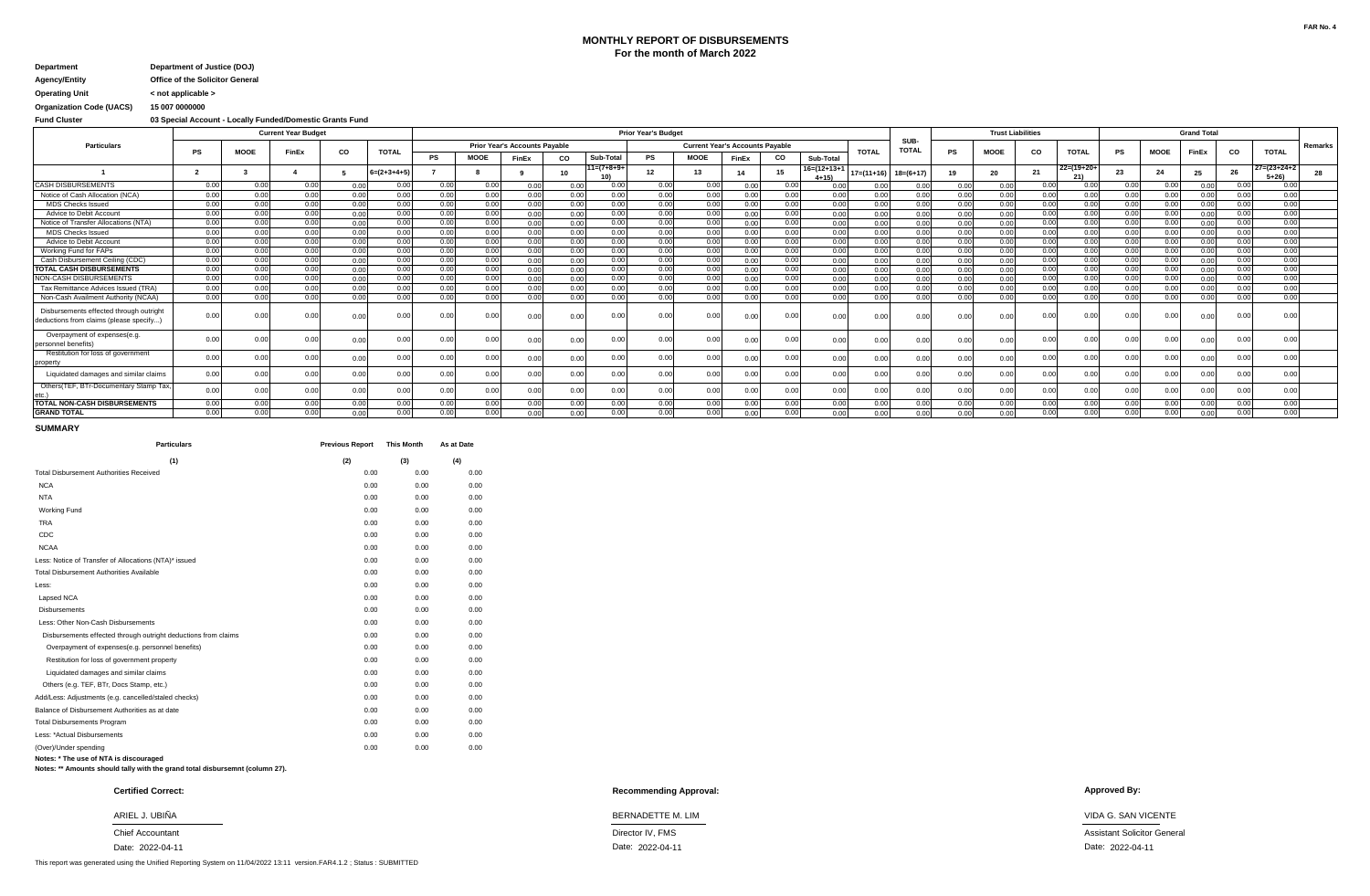### **MONTHLY REPORT OF DISBURSEMENTS For the month of March 2022**

### **Agency/Entity Office of the Solicitor General Department Department of Justice (DOJ)**

**Operating Unit < not applicable >**

# **Organization Code (UACS) 15 007 0000000**

**Fund Cluster 03 Special Account - Locally Funded/Domestic Grants Fund**

|                                                                                   |      |             | <b>Current Year Budget</b> |      |               |      |             |                                      |           |              | <b>Prior Year's Budget</b> |             |                                        |      |                                  |              |                      |           | <b>Trust Liabilities</b> |      |              |      |             | <b>Grand Total</b> |      |                                  |         |
|-----------------------------------------------------------------------------------|------|-------------|----------------------------|------|---------------|------|-------------|--------------------------------------|-----------|--------------|----------------------------|-------------|----------------------------------------|------|----------------------------------|--------------|----------------------|-----------|--------------------------|------|--------------|------|-------------|--------------------|------|----------------------------------|---------|
| <b>Particulars</b>                                                                | PS   | <b>MOOE</b> | FinEx                      | CO   | <b>TOTAL</b>  |      |             | <b>Prior Year's Accounts Payable</b> |           |              |                            |             | <b>Current Year's Accounts Payable</b> |      |                                  | <b>TOTAL</b> | SUB-<br><b>TOTAL</b> | <b>PS</b> | <b>MOOE</b>              | CO   | <b>TOTAL</b> | PS   | <b>MOOE</b> | FinEx              | CO   | <b>TOTAL</b>                     | Remarks |
|                                                                                   |      |             |                            |      |               | PS   | <b>MOOE</b> | <b>FinEx</b>                         | <b>CO</b> | Sub-Total    | <b>PS</b>                  | <b>MOOE</b> | FinEx                                  | CO   | Sub-Total                        |              |                      |           |                          |      |              |      |             |                    |      |                                  |         |
|                                                                                   |      |             |                            |      | $6=(2+3+4+5)$ |      |             |                                      | 10        | $11=(7+8+9+$ | 12                         | 13          |                                        |      | $16 = (12 + 13 + 1)$<br>$4 + 15$ | $17=(11+16)$ | $18=(6+17)$          |           | 20                       | 21   | $22=(19+20+$ | 23   | 24          | 25                 | 26   | $27 = (23 + 24 + 2)$<br>$5 + 26$ |         |
| <b>CASH DISBURSEMENTS</b>                                                         | 0.00 | 0.00        | 0.00                       | 0.00 | 0.00          | 0.00 | 0.00        | 0.00                                 | 0.00      | 0.00         | 0.00                       | 0.00        | 0.00                                   | 0.00 | 0.00                             | 0.00         | 0.00                 | 0.00      | 0.00                     | 0.00 | 0.00         | 0.00 | 0.00        | 0.00               | 0.00 | 0.00                             |         |
| Notice of Cash Allocation (NCA)                                                   | 0.00 | 0.00        | 0.00                       | 0.00 | 0.00          | 0.00 | 0.00        | 0.00                                 | 0.00      | 0.00         | 0.00                       | 0.00        | 0.00                                   | 0.00 | 0.00                             | 0.00         | 0.00                 | 0.00      | 0.00                     | 0.00 | 0.00         | 0.00 | 0.00        | 0.00               | 0.00 | 0.00                             |         |
| <b>MDS Checks Issued</b>                                                          | 0.00 | 0.00        | 0.00                       | 0.00 | 0.00          | 0.00 | 0.00        | 0.00                                 | 0.00      | 0.00         | 0.00                       | 0.00        | 0.00                                   | 0.00 | 0.00                             | 0.00         | 0.00                 | 0.00      | 0.00                     | 0.00 | 0.00         | 0.00 | 0.00        | 0.00               | 0.00 | 0.00                             |         |
| Advice to Debit Accoun                                                            | 0.00 | 0.00        | 0.00                       | 0.00 | 0.00          | 0.00 | 0.00        | 0.00                                 | 0.00      | 0.00         | 0.00                       | 0.00        | 0.00                                   | 0.00 | 0.00                             | 0.00         | 0.00                 | 0.00      | 0.00                     | 0.00 | 0.00         | 0.00 | 0.00        | 0.00               | 0.00 | 0.00                             |         |
| Notice of Transfer Allocations (NTA)                                              | 0.00 | 0.00        | 0.00                       | 0.00 | 0.00          | 0.00 | 0.00        | 0.00                                 | 0.00      | 0.00         | 0.00                       | 0.00        | 0.00                                   | 0.00 | 0.00                             | 0.00         | 0.00                 | 0.00      | 0.00                     | 0.00 | 0.00         | 0.00 | 0.00        | 0.00               | 0.00 | 0.00                             |         |
| <b>MDS Checks Issued</b>                                                          | 0.00 | 0.00        | 0.00                       | 0.00 | 0.00          | 0.00 | 0.00        | 0.00                                 | 0.00      | 0.00         | 0.00                       | 0.00        | 0.00                                   | 0.00 | 0.00                             | 0.00         | 0.00                 | 0.00      | 0.00                     | 0.00 | 0.00         | 0.00 | 0.00        | 0.00               | 0.00 | 0.00                             |         |
| Advice to Debit Accoun                                                            | 0.00 | 0.00        | 0.00                       | 0.00 | 0.00          | 0.00 | 0.00        | 0.00                                 | 0.00      | 0.00         | 0.00                       | 0.00        | 0.00                                   | 0.00 | 0.00                             | 0.00         | 0.00                 | 0.00      | 0.00                     | 0.00 | 0.00         | 0.00 | 0.00        | 0.00               | 0.00 | 0.00                             |         |
| Working Fund for FAPs                                                             | 0.00 | 0.00        | 0.00                       | 0.00 | 0.00          | 0.00 | 0.00        | 0.00                                 | 0.00      | 0.00         | 0.00                       | 0.00        | 0.00                                   | 0.00 | 0.00                             | 0.00         | 0.00                 | 0.00      | 0.00                     | 0.00 | 0.00         | 0.00 | 0.00        | 0.00               | 0.00 | 0.00                             |         |
| Cash Disbursement Ceiling (CDC)                                                   | 0.00 | 0.00        | 0.00                       | 0.00 | 0.00          | 0.00 | 0.00        | 0.00                                 | 0.00      | 0.00         | 0.00                       | 0.00        | 0.00                                   | 0.00 | 0.00                             | 0.00         | 0.00                 | 0.00      | 0.00                     | 0.00 | 0.00         | 0.00 | 0.00        | 0.00               | 0.00 | 0.00                             |         |
| <b>TOTAL CASH DISBURSEMENTS</b>                                                   | 0.00 | 0.00        | 0.00                       | 0.00 | 0.00          | 0.00 | 0.00        | 0.00                                 | 0.00      | 0.00         | 0.00                       | 0.00        | 0.00                                   | 0.00 | 0.00                             | 0.00         | 0.00                 | 0.00      | 0.00                     | 0.00 | 0.00         | 0.00 | 0.00        | 0.00               | 0.00 | 0.00                             |         |
| NON-CASH DISBURSEMENTS                                                            | 0.00 | 0.00        | 0.00                       | 0.00 | 0.00          | 0.00 | 0.00        | 0.00                                 | 0.00      | 0.00         | 0.00                       | 0.00        | 0.00                                   | 0.00 | 0.00                             | 0.00         | 0.00                 | 0.00      | 0.00                     | 0.00 | 0.00         | 0.00 | 0.00        | 0.00               | 0.00 | 0.00                             |         |
| Tax Remittance Advices Issued (TRA)                                               | 0.00 | 0.00        | 0.00                       | 0.00 | 0.00          | 0.00 | 0.00        | 0.00                                 | 0.00      | 0.00         | 0.00                       | 0.00        | 0.00                                   | 0.00 | 0.00                             | 0.00         | 0.00                 | 0.00      | 0.00                     | 0.00 | 0.00         | 0.00 | 0.00        | 0.00               | 0.00 | 0.00                             |         |
| Non-Cash Availment Authority (NCAA)                                               | 0.00 | 0.00        | 0.00                       | 0.00 | 0.00          | 0.00 | 0.00        | 0.00                                 | 0.00      | 0.00         | 0.00                       | 0.00        | 0.00                                   | 0.00 | 0.00                             | 0.00         | 0.00                 | 0.00      | 0.00                     | 0.00 | 0.0(         | 0.00 | 0.00        | 0.00               | 0.00 | 0.00                             |         |
| Disbursements effected through outright<br>deductions from claims (please specify | 0.0  | 0.00        | 0.OC                       | 0.00 | 0.00          | 0.00 | 0.00        | 0.00                                 | 0.00      | 0.00         | 0.0                        | 0.00        |                                        | 0.00 | 0.00                             | 0.0          |                      | 0.00      |                          |      | 0.01         | 0.0( | 0.00        | 0.00               | 0.00 | 0.00                             |         |
| Overpayment of expenses(e.g.<br>personnel benefits)                               | 0.0  | 0.00        | 0.00                       | 0.00 | 0.00          | 0.00 | 0.00        | 0.00                                 | 0.00      | 0.00         | 0.0                        | 0.00        | 0.00                                   | 0.00 | 0.00                             | 0.00         | 0.00                 | 0.00      | 0.00                     | 0.0  | 0.01         | 0.00 | 0.00        | 0.00               | 0.00 | 0.00                             |         |
| Restitution for loss of government<br>property                                    | 0.00 | 0.00        | 0.00                       | 0.00 | 0.00          | 0.00 | 0.00.       | 0.00                                 | 0.00      | 0.00         | 0.00                       | 0.00        | 0.00                                   | 0.00 | 0.00                             | 0.0          | 0.00                 | 0.00      |                          | 0.0  | 0.00         | 0.00 | 0.00        | 0.00               | 0.00 | 0.00                             |         |
| Liquidated damages and similar claims                                             | 0.00 | 0.00        | 0.00                       | 0.00 | 0.00          | 0.00 | 0.00        | 0.00                                 | 0.00      | 0.00         | 0.00                       | 0.00        | 0.0                                    | 0.00 | 0.00                             | 0.00         | 0.00                 | 0.00      | 0.00                     | 0.00 | 0.01         | 0.00 | 0.00        | 0.00               | 0.00 | 0.00                             |         |
| Others(TEF, BTr-Documentary Stamp Tax,                                            | 0.00 | 0.00        | 0.00                       | 0.00 | 0.00          | 0.00 | 0.00        | 0.00                                 | 0.00      | 0.00         | 0.00                       | 0.00        | 0.00                                   | 0.00 | 0.00                             | 0.00         | 0.00                 | 0.00      | 0.00                     | 0.00 | 0.00         | 0.00 | 0.00        | 0.00               | 0.00 | 0.00                             |         |
| <b>TOTAL NON-CASH DISBURSEMENTS</b>                                               | 0.00 | 0.00        | 0.00                       | 0.00 | 0.00          | 0.00 | 0.00        | 0.00                                 | 0.00      | 0.00         | 0.00                       | 0.00        | 0.00                                   | 0.00 | 0.00                             | 0.00         | 0.00                 | 0.00      | 0.00                     | 0.00 | 0.00         | 0.00 | 0.00        | 0.00               | 0.00 | 0.00                             |         |
| <b>GRAND TOTAL</b>                                                                | 0.00 | 0.00        | 0.00                       | 0.00 | 0.00          | 0.00 | 0.00        | 0.00                                 | 0.00      | 0.00         | 0.00                       | 0.00        | 0.00                                   | 0.00 | 0.00                             | 0.00         | 0.00                 | 0.00      | 0.00                     | 0.00 | 0.00         | 0.00 | 0.00        | 0.00               | 0.00 | 0.00                             |         |

#### **SUMMARY**

| <b>Particulars</b>                                             | <b>Previous Report</b> | <b>This Month</b> | As at Date |
|----------------------------------------------------------------|------------------------|-------------------|------------|
| (1)                                                            | (2)                    | (3)               | (4)        |
| <b>Total Disbursement Authorities Received</b>                 | 0.00                   | 0.00              | 0.00       |
| <b>NCA</b>                                                     | 0.00                   | 0.00              | 0.00       |
| <b>NTA</b>                                                     | 0.00                   | 0.00              | 0.00       |
| <b>Working Fund</b>                                            | 0.00                   | 0.00              | 0.00       |
| <b>TRA</b>                                                     | 0.00                   | 0.00              | 0.00       |
| CDC                                                            | 0.00                   | 0.00              | 0.00       |
| <b>NCAA</b>                                                    | 0.00                   | 0.00              | 0.00       |
| Less: Notice of Transfer of Allocations (NTA)* issued          | 0.00                   | 0.00              | 0.00       |
| <b>Total Disbursement Authorities Available</b>                | 0.00                   | 0.00              | 0.00       |
| Less:                                                          | 0.00                   | 0.00              | 0.00       |
| Lapsed NCA                                                     | 0.00                   | 0.00              | 0.00       |
| <b>Disbursements</b>                                           | 0.00                   | 0.00              | 0.00       |
| Less: Other Non-Cash Disbursements                             | 0.00                   | 0.00              | 0.00       |
| Disbursements effected through outright deductions from claims | 0.00                   | 0.00              | 0.00       |
| Overpayment of expenses(e.g. personnel benefits)               | 0.00                   | 0.00              | 0.00       |
| Restitution for loss of government property                    | 0.00                   | 0.00              | 0.00       |
| Liquidated damages and similar claims                          | 0.00                   | 0.00              | 0.00       |
| Others (e.g. TEF, BTr, Docs Stamp, etc.)                       | 0.00                   | 0.00              | 0.00       |
| Add/Less: Adjustments (e.g. cancelled/staled checks)           | 0.00                   | 0.00              | 0.00       |
| Balance of Disbursement Authorities as at date                 | 0.00                   | 0.00              | 0.00       |
| <b>Total Disbursements Program</b>                             | 0.00                   | 0.00              | 0.00       |
| Less: *Actual Disbursements                                    | 0.00                   | 0.00              | 0.00       |
| (Over)/Under spending                                          | 0.00                   | 0.00              | 0.00       |
| Notes: * The use of NTA is discouraged                         |                        |                   |            |

**Notes: \* The use of NTA is discouraged Notes: \*\* Amounts should tally with the grand total disbursemnt (column 27).**

Date: 2022-04-11

This report was generated using the Unified Reporting System on 11/04/2022 13:11 version.FAR4.1.2 ; Status : SUBMITTED

### **Recommending Approval: Certified Correct: Approved By:**

#### ARIEL J. UBIÑA BERNADETTE M. LIM VIDA G. SAN VICENTE

Chief Accountant **Chief Accountant** Assistant Solicitor General Assistant Solicitor General Assistant Solicitor General

Date: 2022-04-11 Date: 2022-04-11 2022-04-11 Date: Date: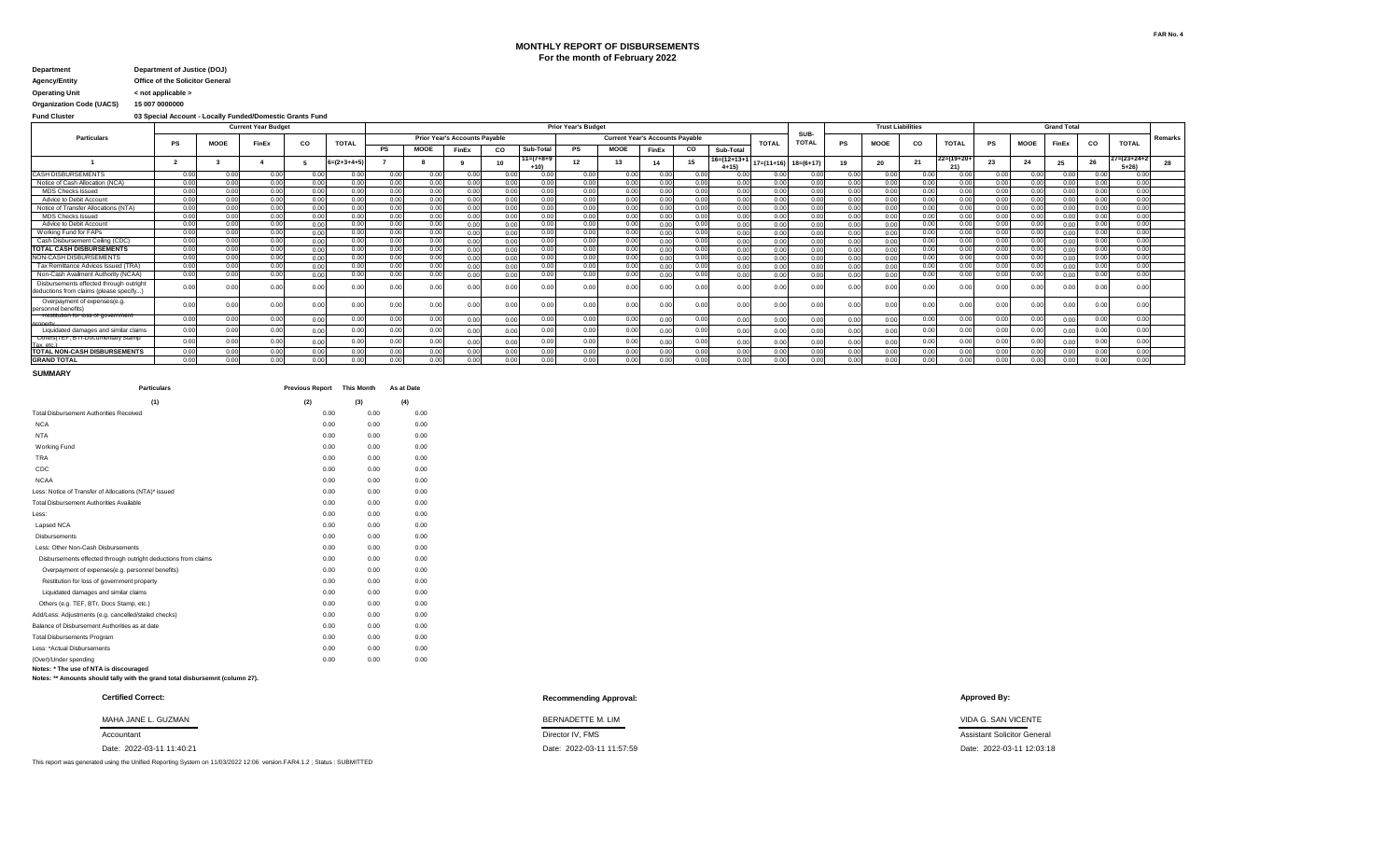## **MONTHLY REPORT OF DISBURSEMENTS For the month of February 2022**

### **Agency/Entity Office of the Solicitor General Department Department of Justice (DOJ)**

**Operating Unit < not applicable >**

**Organization Code (UACS) 15 007 0000000**

**Fund Cluster 03 Special Account - Locally Funded/Domestic Grants Fund**

|                                                                                   | <b>Prior Year's Budget</b><br><b>Current Year Budget</b><br><b>Prior Year's Accounts Payable</b><br><b>Current Year's Accounts Payable</b> |             |       |      |                       |      |             |       |      |              |           |             |       |      |                               |                  |                      |      | <b>Trust Liabilities</b> |      |              |           |                 | <b>Grand Total</b> |      |                         |                |
|-----------------------------------------------------------------------------------|--------------------------------------------------------------------------------------------------------------------------------------------|-------------|-------|------|-----------------------|------|-------------|-------|------|--------------|-----------|-------------|-------|------|-------------------------------|------------------|----------------------|------|--------------------------|------|--------------|-----------|-----------------|--------------------|------|-------------------------|----------------|
| Particulars                                                                       | PS                                                                                                                                         | <b>MOOE</b> | FinEx | CO   | <b>TOTAL</b>          |      |             |       |      |              |           |             |       |      |                               | <b>TOTAL</b>     | SUB-<br><b>TOTAL</b> | PS   | MOOE                     | co   | <b>TOTAL</b> | <b>PS</b> | <b>MOOE</b>     | FinEx              | co   | <b>TOTAL</b>            | <b>Remarks</b> |
|                                                                                   |                                                                                                                                            |             |       |      |                       |      | <b>MOOE</b> | FinEx | co   | Sub-Total    | <b>PS</b> | <b>MOOE</b> | FinEx | CO   | Sub-Total                     |                  |                      |      |                          |      |              |           |                 |                    |      |                         |                |
|                                                                                   |                                                                                                                                            |             |       |      | $6 = (2 + 3 + 4 + 5)$ |      |             |       | 10   | $11=(7+8+9)$ |           | 13          | 14    |      | $16 = (12 + 13 +$<br>$4 + 15$ | $17 = (11 + 16)$ | $18=(6+17)$          |      | 20                       | 21   | 22=(19+20+   | 23        | 24              |                    | 26   | 27=(23+24+2<br>$5 + 26$ |                |
| <b>CASH DISBURSEMENTS</b>                                                         | 0.00                                                                                                                                       | 0.00        | 0.00  | 0.00 | 0.00                  | 0.00 | 0.00        | 0.00  | 0.00 | 0.00         | 0.00      | 0.00        | 0.00  | 0.00 | 0.00                          | 0.00             | 0.00                 | 0.00 | 0.00                     | 0.00 | 0.00         | 0.00      | 0.00            | 0.00               | 0.00 | 0.00                    |                |
| Notice of Cash Allocation (NCA)                                                   | 0.00                                                                                                                                       | 0.00        | 0.00  | 0.00 | 0.00                  | 0.00 | 0.00        | 0.00  | 0.00 | 0.00         | 0.00      | 0.00        | 0.00  | 0.00 | 0.00                          | 0.00             | 0.00                 | 0.00 | 0.00                     | 0.00 | 0.00         | 0.00      | 0.00            | 0.00               | 0.00 | 0.00                    |                |
| <b>MDS Checks Issued</b>                                                          | 0.00                                                                                                                                       | 0.00        | 0.00  | 0.00 | 0.00                  | 0.00 | 0.00        | 0.00  | 0.00 | 0.00         | 0.00      | 0.00        | 0.00  | 0.00 | 0.00                          | 0.00             | 0.00                 | 0.00 | 0.00                     | 0.00 | 0.00         | 0.00      | 0.00            | 0.00               | 0.00 | 0.00                    |                |
| Advice to Debit Account                                                           | 0.00                                                                                                                                       | 0.00        | 0.00  | 0.00 | 0.00                  | n nr | 0.00        | 0.00  | 0.00 | 0.00         | 0.00      | n nn        | 0.00  | 0.00 | 0.00                          | 0.00             | 0.00                 | 0.00 | 0.00                     | 0.00 | 0.00         | 0.00      | 0.00            | 0.00               | 0.00 | 0.00                    |                |
| Notice of Transfer Allocations (NTA)                                              | 0.00                                                                                                                                       | 0.00        | 0.00  | 0.00 | 0.00                  | 0.00 | 0.00        | 0.00  | 0.00 | 0.00         | 0.00      | 0.00        | 0.00  | 0.00 | 0.00                          | 0.00             | 0.00                 | 0.00 | 0.00                     | 0.00 | 0.00         | 0.00      | 0.00            | 0.00               | 0.00 | 0.00                    |                |
| <b>MDS Checks Issued</b>                                                          | 0.00                                                                                                                                       | 0.00        | 0.00  | 0.00 | 0.00                  | 0.00 | 0.00        | 0.00  | 0.00 | 0.00         | 0.00      | 0.00        | 0.00  | 0.00 | 0.00                          | 0.00             | 0.00                 | 0.00 | 0.00                     | 0.00 | 0.0(         | 0.00      | 0.00            | 0.00               | 0.00 | 0.001                   |                |
| Advice to Debit Account                                                           | 0.00                                                                                                                                       | 0.00        | 0.00  | 0.00 | 0.00                  | 0.00 | 0.00        | 0.00  | 0.00 | 0.00         | 0.00      | 0.00        | 0.00  | 0.00 | 0.00                          | 0.00             | 0.00                 | 0.00 | 0.00                     | 0.00 | 0.00         | 0.00      | 0.00            | 0.00               | 0.00 | 0.00                    |                |
| Working Fund for FAPs                                                             | 0.00                                                                                                                                       | 0.00        | 0.00  | 0.00 | 0.00                  | 0.00 | 0.00        | 0.00  | 0.00 | 0.00         | 0.00      | 0.00        | 0.00  | 0.00 | 0.00                          | 0.00             | 0.00                 | 0.00 | 0.00                     | 0.00 | 0.00         | 0.00      | 0.00            | 0.00               | 0.00 | 0.00                    |                |
| Cash Disbursement Ceiling (CDC)                                                   | 0.00                                                                                                                                       | 0.00        | 0.00  | 0.00 | 0.00                  | 0.00 | 0.00        | n nn  | 0.00 | 0.00         | 0.00      | 0.00        | 0.00  | 0.00 | 0.00                          | 0.00             | 0.00                 | 0.00 | 0.00                     | 0.00 | 0.00         | 0.00      | 0.01            | n nn               | 0.00 | 0.00                    |                |
| <b>TOTAL CASH DISBURSEMENTS</b>                                                   | 0.00                                                                                                                                       | 0.00        | 0.00  | 0.00 | 0.00                  | 0.00 | 0.00        | 0.00  | 0.00 | 0.00         | 0.00      | 0.00        | 0.00  | 0.00 | 0.00                          | 0.00             | 0.00                 | 0.00 | 0.00                     | 0.00 | 0.00         | 0.00      | 0.00            | 0.00               | 0.00 | 0.00                    |                |
| NON-CASH DISBURSEMENTS                                                            | 0.00                                                                                                                                       | 0.00        | 0.00  | 0.00 | 0.00                  | 0.00 | 0.00        | n nn  | 0.00 | 0.00         | 0.00      | 0.00        | 0.00  | 0.00 | 0.00                          | 0.00             | 0.00                 | 0.00 | n nn                     | 0.00 | 0.00         | 0.00      | 0.00            | n nn               | 0.00 | 0.00                    |                |
| Tax Remittance Advices Issued (TRA)                                               | 0.00                                                                                                                                       | 0.00        | 0.00  | 0.00 | 0.00                  | 0.00 | 0.00        | 0.00  | 0.00 | 0.00         | 0.00      | 0.00        | 0.00  | 0.00 | 0.00                          | 0.00             | 0.00                 | 0.00 | 0.00                     | 0.00 | 0.00         | 0.00      | 0.00            | 0.00               | 0.00 | 0.001                   |                |
| Non-Cash Availment Authority (NCAA)                                               | 0.00                                                                                                                                       | 0.00        | 0.00  | 0.00 | 0.00                  | 0.00 | 0.00        | 0.00  | 0.00 | 0.00         | 0.00      | 0.00        | 0.00  | 0.00 | 0.00                          | 0.00             | 0.00                 | 0.00 | 0.00                     | 0.00 | 0.00         | 0.00      | 0.00            | 0.00               | 0.00 | 0.00                    |                |
| Disbursements effected through outright<br>deductions from claims (please specify | 0.00                                                                                                                                       |             |       | 0.0  |                       | 0.01 | 0.0         | 0.00  | 0.0  | 0.00         | 0.0       | 0.00        | 0.0   | 0.00 | 0.0                           | 0.00             |                      | 0.00 | 0.00                     | 0.0  | 0.0(         | 0.00      | 0. <sub>C</sub> |                    |      | 0.00                    |                |
| Overpayment of expenses(e.g<br>personnel benefits                                 | 0.00                                                                                                                                       |             | 0.00  | 0.00 | 0.00                  | 0.01 | 0.00        | 0.00  | 0.00 | 0.00         | 0.00      | 0.00        | 0.00  | 0.00 | 0.00                          | 0.00             | 0.00                 | 0.00 | 0.00                     | 0.00 | 0.0(         | 0.00      | 0.00            | 0.00               | 0.00 | 0.00                    |                |
| kesiimini in inss oi dovenimen<br>nronerty                                        | 0.00                                                                                                                                       | 0.00        | 0.00  | 0.00 | 0.00                  | 0.01 | 0.00        | 0.00  | 0.00 | 0.00         | 0.00      | 0.00        | 0.00  | 0.00 | 0.00                          | 0.00             | 0.00                 | 0.00 | 0.00                     | 0.00 | 0.0(         | 0.00      | 0.01            |                    | 0.00 | 0.00                    |                |
| Liquidated damages and similar claims                                             | 0.00                                                                                                                                       | 0.00        | 0.00  | 0.00 | 0.00                  | 0.00 | 0.00        | 0.00  | 0.00 | 0.00         | 0.00      | 0.00        | 0.00  | 0.00 | 0.00                          | 0.00             | 0.00                 | 0.00 | 0.00                     | 0.00 | 0.00         | 0.00      | 0.00            | 0.00               | 0.00 | 0.00                    |                |
| Uthers (TEF, BTPDUCumentary Stamp<br>Tax etc.                                     | 0.00                                                                                                                                       | 0.00        | 0.00  | 0.00 | 0.00                  | 0.00 | 0.00        | 0.00  | 0.00 | 0.00         | 0.00      | 0.00        | 0.00  | 0.00 | 0.00                          | 0.00             | 0.00                 | 0.00 | 0.00                     | 0.00 | 0.0(         | 0.00      | 0.0(            |                    |      | 0.00                    |                |
| <b>TOTAL NON-CASH DISBURSEMENTS</b>                                               | 0.00                                                                                                                                       | 0.00        | 0.00  | 0.00 | 0.00                  | 0.00 | 0.00        | 0.00  | 0.00 | 0.00         | 0.00      | 0.00        | 0.00  | 0.00 | 0.00                          | 0.00             | 0.00                 | 0.00 | 0.00                     | 0.00 | 0.00         | 0.00      | 0.00            | 0.00               | 0.00 | 0.00                    |                |
| <b>GRAND TOTAL</b>                                                                | 0.00                                                                                                                                       | 0.00        | 0.00  | 0.00 | 0.00                  | 0.00 | 0.00        | n nr  | 0.00 | 0.00         | 0.00      | 0.00        | 0.00  | 0.00 | 0.00                          | 0.00             | 0.00                 | 0.00 | 0.00                     | 0.00 | 0.00         | 0.00      | 0.00            | 0.00               | 0.00 | 0.00                    |                |

**SUMMARY**

| <b>Particulars</b>                                             | <b>Previous Report</b> | <b>This Month</b> | As at Date |
|----------------------------------------------------------------|------------------------|-------------------|------------|
| (1)                                                            | (2)                    | (3)               | (4)        |
| <b>Total Disbursement Authorities Received</b>                 | 0.00                   | 0.00              | 0.00       |
| <b>NCA</b>                                                     | 0.00                   | 0.00              | 0.00       |
| <b>NTA</b>                                                     | 0.00                   | 0.00              | 0.00       |
| <b>Working Fund</b>                                            | 0.00                   | 0.00              | 0.00       |
| <b>TRA</b>                                                     | 0.00                   | 0.00              | 0.00       |
| CDC                                                            | 0.00                   | 0.00              | 0.00       |
| <b>NCAA</b>                                                    | 0.00                   | 0.00              | 0.00       |
| Less: Notice of Transfer of Allocations (NTA)* issued          | 0.00                   | 0.00              | 0.00       |
| <b>Total Disbursement Authorities Available</b>                | 0.00                   | 0.00              | 0.00       |
| Less:                                                          | 0.00                   | 0.00              | 0.00       |
| Lapsed NCA                                                     | 0.00                   | 0.00              | 0.00       |
| <b>Disbursements</b>                                           | 0.00                   | 0.00              | 0.00       |
| Less: Other Non-Cash Disbursements                             | 0.00                   | 0.00              | 0.00       |
| Disbursements effected through outright deductions from claims | 0.00                   | 0.00              | 0.00       |
| Overpayment of expenses(e.g. personnel benefits)               | 0.00                   | 0.00              | 0.00       |
| Restitution for loss of government property                    | 0.00                   | 0.00              | 0.00       |
| Liquidated damages and similar claims                          | 0.00                   | 0.00              | 0.00       |
| Others (e.g. TEF, BTr, Docs Stamp, etc.)                       | 0.00                   | 0.00              | 0.00       |
| Add/Less: Adjustments (e.g. cancelled/staled checks)           | 0.00                   | 0.00              | 0.00       |
| Balance of Disbursement Authorities as at date                 | 0.00                   | 0.00              | 0.00       |
| <b>Total Disbursements Program</b>                             | 0.00                   | 0.00              | 0.00       |
| Less: *Actual Disbursements                                    | 0.00                   | 0.00              | 0.00       |
| (Over)/Under spending                                          | 0.00                   | 0.00              | 0.00       |
| Notes: * The use of NTA is discouraged                         |                        |                   |            |

### **Notes: \*\* Amounts should tally with the grand total disbursemnt (column 27).**

This report was generated using the Unified Reporting System on 11/03/2022 12:06 version.FAR4.1.2 ; Status : SUBMITTED

#### **Recommending Approval: Certified Correct: Approved By:**

Accountant **Accountant Director IV, FMS Director IV, FMS Director IV, FMS Assistant Solicitor General** MAHA JANE L. GUZMAN BERNADETTE M. LIM BERNADETTE M. LIM BERNADETTE M. LIM BERNADETTE M. LIM VIDA G. SAN VICENTE

Date: 2022-03-11 11:40:21 Date: 2022-03-11 11:57:59 Date: 2022-03-11 12:03:18